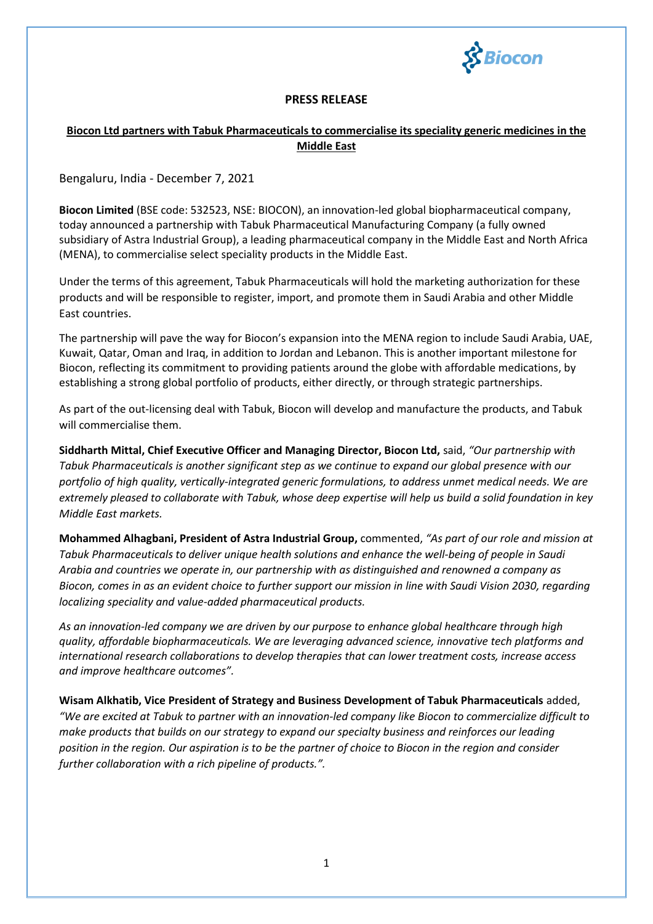

## **PRESS RELEASE**

## **Biocon Ltd partners with Tabuk Pharmaceuticals to commercialise its speciality generic medicines in the Middle East**

Bengaluru, India - December 7, 2021

**Biocon Limited** (BSE code: 532523, NSE: BIOCON), an innovation-led global biopharmaceutical company, today announced a partnership with Tabuk Pharmaceutical Manufacturing Company (a fully owned subsidiary of Astra Industrial Group), a leading pharmaceutical company in the Middle East and North Africa (MENA), to commercialise select speciality products in the Middle East.

Under the terms of this agreement, Tabuk Pharmaceuticals will hold the marketing authorization for these products and will be responsible to register, import, and promote them in Saudi Arabia and other Middle East countries.

The partnership will pave the way for Biocon's expansion into the MENA region to include Saudi Arabia, UAE, Kuwait, Qatar, Oman and Iraq, in addition to Jordan and Lebanon. This is another important milestone for Biocon, reflecting its commitment to providing patients around the globe with affordable medications, by establishing a strong global portfolio of products, either directly, or through strategic partnerships.

As part of the out-licensing deal with Tabuk, Biocon will develop and manufacture the products, and Tabuk will commercialise them.

**Siddharth Mittal, Chief Executive Officer and Managing Director, Biocon Ltd,** said, *"Our partnership with Tabuk Pharmaceuticals is another significant step as we continue to expand our global presence with our portfolio of high quality, vertically-integrated generic formulations, to address unmet medical needs. We are extremely pleased to collaborate with Tabuk, whose deep expertise will help us build a solid foundation in key Middle East markets.* 

**Mohammed Alhagbani, President of Astra Industrial Group,** commented, *"As part of our role and mission at Tabuk Pharmaceuticals to deliver unique health solutions and enhance the well-being of people in Saudi Arabia and countries we operate in, our partnership with as distinguished and renowned a company as Biocon, comes in as an evident choice to further support our mission in line with Saudi Vision 2030, regarding localizing speciality and value-added pharmaceutical products.*

*As an innovation-led company we are driven by our purpose to enhance global healthcare through high quality, affordable biopharmaceuticals. We are leveraging advanced science, innovative tech platforms and international research collaborations to develop therapies that can lower treatment costs, increase access and improve healthcare outcomes".*

**Wisam Alkhatib, Vice President of Strategy and Business Development of Tabuk Pharmaceuticals** added, *"We are excited at Tabuk to partner with an innovation-led company like Biocon to commercialize difficult to make products that builds on our strategy to expand our specialty business and reinforces our leading position in the region. Our aspiration is to be the partner of choice to Biocon in the region and consider further collaboration with a rich pipeline of products.".*